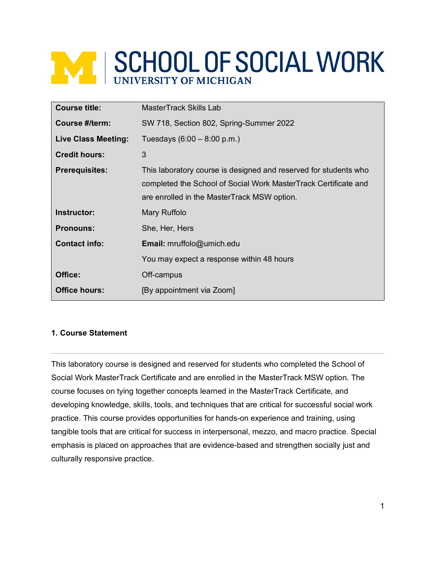# **WE SCHOOL OF SOCIAL WORK**

| <b>Course title:</b>       | MasterTrack Skills Lab                                                                                                                                                             |  |
|----------------------------|------------------------------------------------------------------------------------------------------------------------------------------------------------------------------------|--|
| Course #/term:             | SW 718, Section 802, Spring-Summer 2022                                                                                                                                            |  |
| <b>Live Class Meeting:</b> | Tuesdays $(6:00 - 8:00 \text{ p.m.})$                                                                                                                                              |  |
| <b>Credit hours:</b>       | 3                                                                                                                                                                                  |  |
| <b>Prerequisites:</b>      | This laboratory course is designed and reserved for students who<br>completed the School of Social Work MasterTrack Certificate and<br>are enrolled in the MasterTrack MSW option. |  |
| Instructor:                | Mary Ruffolo                                                                                                                                                                       |  |
| <b>Pronouns:</b>           | She, Her, Hers                                                                                                                                                                     |  |
| <b>Contact info:</b>       | <b>Email:</b> mruffolo@umich.edu                                                                                                                                                   |  |
|                            | You may expect a response within 48 hours                                                                                                                                          |  |
| Office:                    | Off-campus                                                                                                                                                                         |  |
| <b>Office hours:</b>       | [By appointment via Zoom]                                                                                                                                                          |  |

# **1. Course Statement**

This laboratory course is designed and reserved for students who completed the School of Social Work MasterTrack Certificate and are enrolled in the MasterTrack MSW option. The course focuses on tying together concepts learned in the MasterTrack Certificate, and developing knowledge, skills, tools, and techniques that are critical for successful social work practice. This course provides opportunities for hands-on experience and training, using tangible tools that are critical for success in interpersonal, mezzo, and macro practice. Special emphasis is placed on approaches that are evidence-based and strengthen socially just and culturally responsive practice.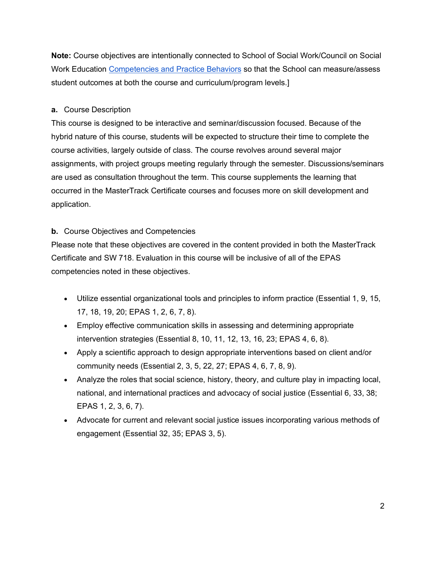**Note:** Course objectives are intentionally connected to School of Social Work/Council on Social Work Education [Competencies and Practice Behaviors](https://www.cswe.org/getattachment/Accreditation/Accreditation-Process/2015-EPAS/2015EPAS_Web_FINAL.pdf.aspx) so that the School can measure/assess student outcomes at both the course and curriculum/program levels.]

## **a.** Course Description

This course is designed to be interactive and seminar/discussion focused. Because of the hybrid nature of this course, students will be expected to structure their time to complete the course activities, largely outside of class. The course revolves around several major assignments, with project groups meeting regularly through the semester. Discussions/seminars are used as consultation throughout the term. This course supplements the learning that occurred in the MasterTrack Certificate courses and focuses more on skill development and application.

# **b.** Course Objectives and Competencies

Please note that these objectives are covered in the content provided in both the MasterTrack Certificate and SW 718. Evaluation in this course will be inclusive of all of the EPAS competencies noted in these objectives.

- Utilize essential organizational tools and principles to inform practice (Essential 1, 9, 15, 17, 18, 19, 20; EPAS 1, 2, 6, 7, 8).
- Employ effective communication skills in assessing and determining appropriate intervention strategies (Essential 8, 10, 11, 12, 13, 16, 23; EPAS 4, 6, 8).
- Apply a scientific approach to design appropriate interventions based on client and/or community needs (Essential 2, 3, 5, 22, 27; EPAS 4, 6, 7, 8, 9).
- Analyze the roles that social science, history, theory, and culture play in impacting local, national, and international practices and advocacy of social justice (Essential 6, 33, 38; EPAS 1, 2, 3, 6, 7).
- Advocate for current and relevant social justice issues incorporating various methods of engagement (Essential 32, 35; EPAS 3, 5).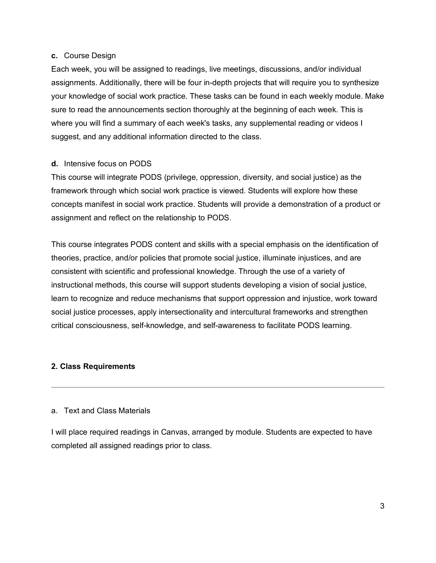#### **c.** Course Design

Each week, you will be assigned to readings, live meetings, discussions, and/or individual assignments. Additionally, there will be four in-depth projects that will require you to synthesize your knowledge of social work practice. These tasks can be found in each weekly module. Make sure to read the announcements section thoroughly at the beginning of each week. This is where you will find a summary of each week's tasks, any supplemental reading or videos I suggest, and any additional information directed to the class.

## **d.** Intensive focus on PODS

This course will integrate PODS (privilege, oppression, diversity, and social justice) as the framework through which social work practice is viewed. Students will explore how these concepts manifest in social work practice. Students will provide a demonstration of a product or assignment and reflect on the relationship to PODS.

This course integrates PODS content and skills with a special emphasis on the identification of theories, practice, and/or policies that promote social justice, illuminate injustices, and are consistent with scientific and professional knowledge. Through the use of a variety of instructional methods, this course will support students developing a vision of social justice, learn to recognize and reduce mechanisms that support oppression and injustice, work toward social justice processes, apply intersectionality and intercultural frameworks and strengthen critical consciousness, self-knowledge, and self-awareness to facilitate PODS learning.

## **2. Class Requirements**

## a. Text and Class Materials

I will place required readings in Canvas, arranged by module. Students are expected to have completed all assigned readings prior to class.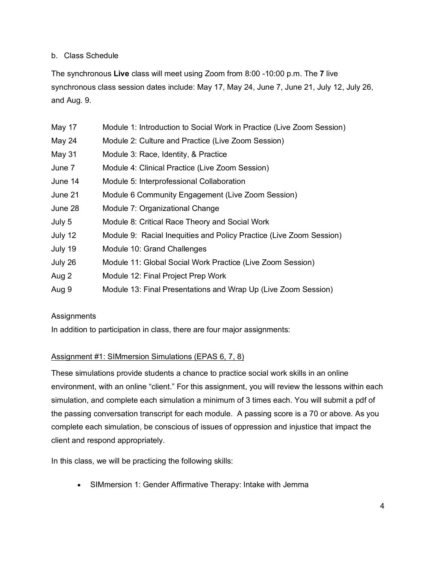## b. Class Schedule

The synchronous **Live** class will meet using Zoom from 8:00 -10:00 p.m. The **7** live synchronous class session dates include: May 17, May 24, June 7, June 21, July 12, July 26, and Aug. 9.

| May 17  | Module 1: Introduction to Social Work in Practice (Live Zoom Session) |
|---------|-----------------------------------------------------------------------|
| May 24  | Module 2: Culture and Practice (Live Zoom Session)                    |
| May 31  | Module 3: Race, Identity, & Practice                                  |
| June 7  | Module 4: Clinical Practice (Live Zoom Session)                       |
| June 14 | Module 5: Interprofessional Collaboration                             |
| June 21 | Module 6 Community Engagement (Live Zoom Session)                     |
| June 28 | Module 7: Organizational Change                                       |
| July 5  | Module 8: Critical Race Theory and Social Work                        |
| July 12 | Module 9: Racial Inequities and Policy Practice (Live Zoom Session)   |
| July 19 | Module 10: Grand Challenges                                           |
| July 26 | Module 11: Global Social Work Practice (Live Zoom Session)            |
| Aug 2   | Module 12: Final Project Prep Work                                    |
| Aug 9   | Module 13: Final Presentations and Wrap Up (Live Zoom Session)        |

## **Assignments**

In addition to participation in class, there are four major assignments:

## Assignment #1: SIMmersion Simulations (EPAS 6, 7, 8)

These simulations provide students a chance to practice social work skills in an online environment, with an online "client." For this assignment, you will review the lessons within each simulation, and complete each simulation a minimum of 3 times each. You will submit a pdf of the passing conversation transcript for each module. A passing score is a 70 or above. As you complete each simulation, be conscious of issues of oppression and injustice that impact the client and respond appropriately.

In this class, we will be practicing the following skills:

• SIMmersion 1: Gender Affirmative Therapy: Intake with Jemma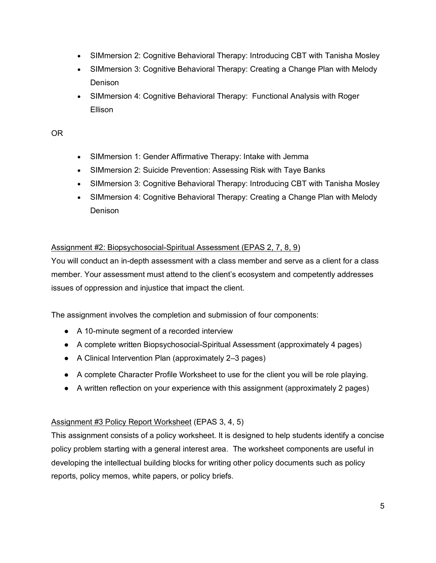- SIMmersion 2: Cognitive Behavioral Therapy: Introducing CBT with Tanisha Mosley
- SIMmersion 3: Cognitive Behavioral Therapy: Creating a Change Plan with Melody Denison
- SIMmersion 4: Cognitive Behavioral Therapy: Functional Analysis with Roger **Ellison**

## OR

- SIMmersion 1: Gender Affirmative Therapy: Intake with Jemma
- SIMmersion 2: Suicide Prevention: Assessing Risk with Taye Banks
- SIMmersion 3: Cognitive Behavioral Therapy: Introducing CBT with Tanisha Mosley
- SIMmersion 4: Cognitive Behavioral Therapy: Creating a Change Plan with Melody Denison

## Assignment #2: Biopsychosocial-Spiritual Assessment (EPAS 2, 7, 8, 9)

You will conduct an in-depth assessment with a class member and serve as a client for a class member. Your assessment must attend to the client's ecosystem and competently addresses issues of oppression and injustice that impact the client.

The assignment involves the completion and submission of four components:

- A 10-minute segment of a recorded interview
- A complete written Biopsychosocial-Spiritual Assessment (approximately 4 pages)
- A Clinical Intervention Plan (approximately 2–3 pages)
- A complete Character Profile Worksheet to use for the client you will be role playing.
- A written reflection on your experience with this assignment (approximately 2 pages)

## Assignment #3 Policy Report Worksheet (EPAS 3, 4, 5)

This assignment consists of a policy worksheet. It is designed to help students identify a concise policy problem starting with a general interest area. The worksheet components are useful in developing the intellectual building blocks for writing other policy documents such as policy reports, policy memos, white papers, or policy briefs.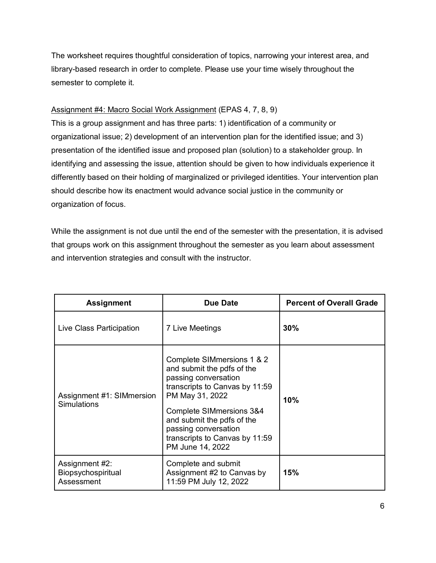The worksheet requires thoughtful consideration of topics, narrowing your interest area, and library-based research in order to complete. Please use your time wisely throughout the semester to complete it.

## Assignment #4: Macro Social Work Assignment (EPAS 4, 7, 8, 9)

This is a group assignment and has three parts: 1) identification of a community or organizational issue; 2) development of an intervention plan for the identified issue; and 3) presentation of the identified issue and proposed plan (solution) to a stakeholder group. In identifying and assessing the issue, attention should be given to how individuals experience it differently based on their holding of marginalized or privileged identities. Your intervention plan should describe how its enactment would advance social justice in the community or organization of focus.

While the assignment is not due until the end of the semester with the presentation, it is advised that groups work on this assignment throughout the semester as you learn about assessment and intervention strategies and consult with the instructor.

| <b>Assignment</b>                                  | Due Date                                                                                                                                                                                                                                                                                 | <b>Percent of Overall Grade</b> |  |
|----------------------------------------------------|------------------------------------------------------------------------------------------------------------------------------------------------------------------------------------------------------------------------------------------------------------------------------------------|---------------------------------|--|
| Live Class Participation                           | 7 Live Meetings                                                                                                                                                                                                                                                                          | 30%                             |  |
| Assignment #1: SIMmersion<br><b>Simulations</b>    | Complete SIMmersions 1 & 2<br>and submit the pdfs of the<br>passing conversation<br>transcripts to Canvas by 11:59<br>PM May 31, 2022<br><b>Complete SIMmersions 3&amp;4</b><br>and submit the pdfs of the<br>passing conversation<br>transcripts to Canvas by 11:59<br>PM June 14, 2022 | 10%                             |  |
| Assignment #2:<br>Biopsychospiritual<br>Assessment | Complete and submit<br>Assignment #2 to Canvas by<br>11:59 PM July 12, 2022                                                                                                                                                                                                              | 15%                             |  |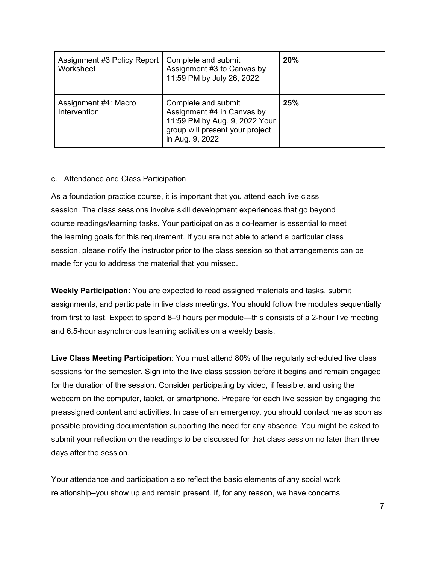| Assignment #3 Policy Report<br>Worksheet | Complete and submit<br>Assignment #3 to Canvas by<br>11:59 PM by July 26, 2022.                                                          | 20% |
|------------------------------------------|------------------------------------------------------------------------------------------------------------------------------------------|-----|
| Assignment #4: Macro<br>Intervention     | Complete and submit<br>Assignment #4 in Canvas by<br>11:59 PM by Aug. 9, 2022 Your<br>group will present your project<br>in Aug. 9, 2022 | 25% |

## c. Attendance and Class Participation

As a foundation practice course, it is important that you attend each live class session. The class sessions involve skill development experiences that go beyond course readings/learning tasks. Your participation as a co-learner is essential to meet the learning goals for this requirement. If you are not able to attend a particular class session, please notify the instructor prior to the class session so that arrangements can be made for you to address the material that you missed.

**Weekly Participation:** You are expected to read assigned materials and tasks, submit assignments, and participate in live class meetings. You should follow the modules sequentially from first to last. Expect to spend 8–9 hours per module—this consists of a 2-hour live meeting and 6.5-hour asynchronous learning activities on a weekly basis.

**Live Class Meeting Participation**: You must attend 80% of the regularly scheduled live class sessions for the semester. Sign into the live class session before it begins and remain engaged for the duration of the session. Consider participating by video, if feasible, and using the webcam on the computer, tablet, or smartphone. Prepare for each live session by engaging the preassigned content and activities. In case of an emergency, you should contact me as soon as possible providing documentation supporting the need for any absence. You might be asked to submit your reflection on the readings to be discussed for that class session no later than three days after the session.

Your attendance and participation also reflect the basic elements of any social work relationship–you show up and remain present. If, for any reason, we have concerns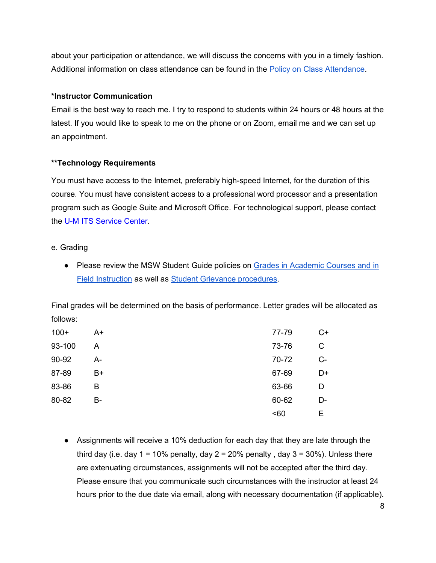about your participation or attendance, we will discuss the concerns with you in a timely fashion. Additional information on class attendance can be found in the [Policy on Class Attendance.](https://ssw.umich.edu/msw-student-guide/section/1.09.00/17/policy-on-class-attendance)

## **\*Instructor Communication**

Email is the best way to reach me. I try to respond to students within 24 hours or 48 hours at the latest. If you would like to speak to me on the phone or on Zoom, email me and we can set up an appointment.

# **\*\*Technology Requirements**

You must have access to the Internet, preferably high-speed Internet, for the duration of this course. You must have consistent access to a professional word processor and a presentation program such as Google Suite and Microsoft Office. For technological support, please contact the [U-M ITS Service Center.](https://its.umich.edu/help)

## e. Grading

● Please review the MSW Student Guide policies on Grades in Academic Courses and in [Field Instruction](http://ssw.umich.edu/msw-student-guide/chapter/1.08/grades-in-academic-courses-and-in-field-instruction) as well as [Student Grievance procedures.](http://ssw.umich.edu/msw-student-guide/chapter/1.18/student-grievances)

Final grades will be determined on the basis of performance. Letter grades will be allocated as follows:

| $100+$ | A+ | 77-79 | $C+$ |
|--------|----|-------|------|
| 93-100 | A  | 73-76 | C    |
| 90-92  | А- | 70-72 | $C-$ |
| 87-89  | B+ | 67-69 | D+   |
| 83-86  | B  | 63-66 | D    |
| 80-82  | B- | 60-62 | D-   |
|        |    | 50    | Е    |

• Assignments will receive a 10% deduction for each day that they are late through the third day (i.e. day  $1 = 10\%$  penalty, day  $2 = 20\%$  penalty, day  $3 = 30\%$ ). Unless there are extenuating circumstances, assignments will not be accepted after the third day. Please ensure that you communicate such circumstances with the instructor at least 24 hours prior to the due date via email, along with necessary documentation (if applicable).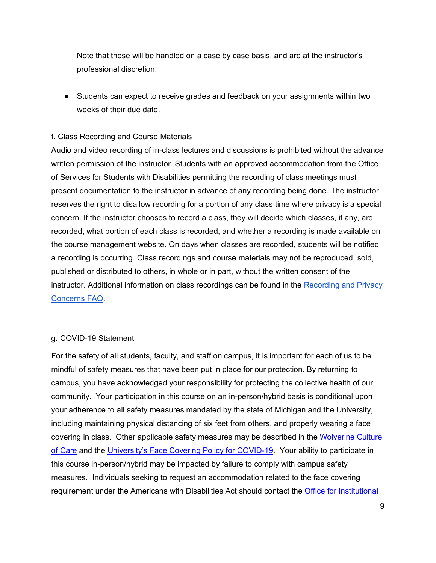Note that these will be handled on a case by case basis, and are at the instructor's professional discretion.

● Students can expect to receive grades and feedback on your assignments within two weeks of their due date.

### f. Class Recording and Course Materials

Audio and video recording of in-class lectures and discussions is prohibited without the advance written permission of the instructor. Students with an approved accommodation from the Office of Services for Students with Disabilities permitting the recording of class meetings must present documentation to the instructor in advance of any recording being done. The instructor reserves the right to disallow recording for a portion of any class time where privacy is a special concern. If the instructor chooses to record a class, they will decide which classes, if any, are recorded, what portion of each class is recorded, and whether a recording is made available on the course management website. On days when classes are recorded, students will be notified a recording is occurring. Class recordings and course materials may not be reproduced, sold, published or distributed to others, in whole or in part, without the written consent of the instructor. Additional information on class recordings can be found in the Recording and Privacy [Concerns FAQ.](https://safecomputing.umich.edu/be-aware/privacy/privacy-u-m/videoconferencing/recording-privacy-concerns-faq)

## g. COVID-19 Statement

For the safety of all students, faculty, and staff on campus, it is important for each of us to be mindful of safety measures that have been put in place for our protection. By returning to campus, you have acknowledged your responsibility for protecting the collective health of our community. Your participation in this course on an in-person/hybrid basis is conditional upon your adherence to all safety measures mandated by the state of Michigan and the University, including maintaining physical distancing of six feet from others, and properly wearing a face covering in class. Other applicable safety measures may be described in the [Wolverine Culture](https://campusblueprint.umich.edu/uploads/Wolverine_Culture_of_Care%20sign_8.5x11_UPDATED_071520.pdf)  [of Care](https://campusblueprint.umich.edu/uploads/Wolverine_Culture_of_Care%20sign_8.5x11_UPDATED_071520.pdf) and the [University's Face Covering Policy for COVID-19.](http://ehs.umich.edu/wp-content/uploads/2020/07/U-M-Face-Covering-Policy-for-COVID-19.pdf) Your ability to participate in this course in-person/hybrid may be impacted by failure to comply with campus safety measures. Individuals seeking to request an accommodation related to the face covering requirement under the Americans with Disabilities Act should contact the [Office for Institutional](https://oie.umich.edu/american-with-disabilities-act-ada/)